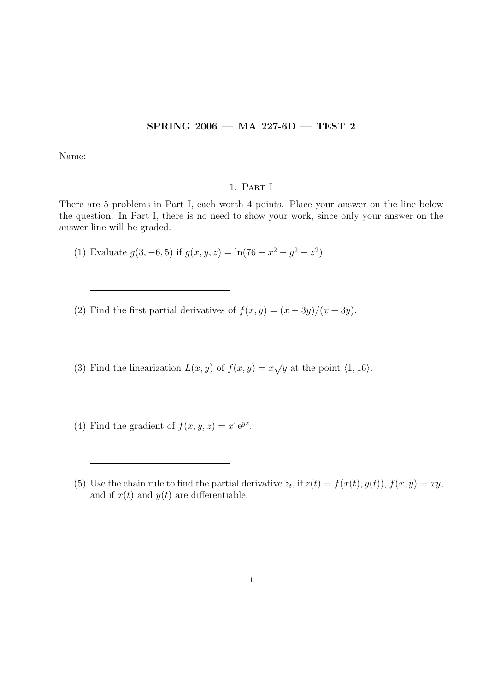## SPRING 2006 — MA 227-6D — TEST 2

Name:  $\equiv$ 

## 1. Part I

There are 5 problems in Part I, each worth 4 points. Place your answer on the line below the question. In Part I, there is no need to show your work, since only your answer on the answer line will be graded.

(1) Evaluate  $g(3, -6, 5)$  if  $g(x, y, z) = \ln(76 - x^2 - y^2 - z^2)$ .

- (2) Find the first partial derivatives of  $f(x, y) = (x 3y)/(x + 3y)$ .
- (3) Find the linearization  $L(x, y)$  of  $f(x, y) = x\sqrt{y}$  at the point  $\langle 1, 16 \rangle$ .
- (4) Find the gradient of  $f(x, y, z) = x^4 e^{yz}$ .
- (5) Use the chain rule to find the partial derivative  $z_t$ , if  $z(t) = f(x(t), y(t))$ ,  $f(x, y) = xy$ , and if  $x(t)$  and  $y(t)$  are differentiable.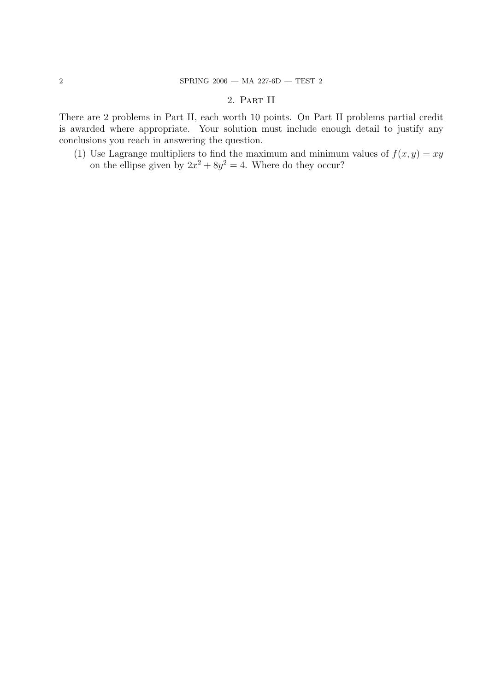## 2. Part II

There are 2 problems in Part II, each worth 10 points. On Part II problems partial credit is awarded where appropriate. Your solution must include enough detail to justify any conclusions you reach in answering the question.

(1) Use Lagrange multipliers to find the maximum and minimum values of  $f(x, y) = xy$ on the ellipse given by  $2x^2 + 8y^2 = 4$ . Where do they occur?